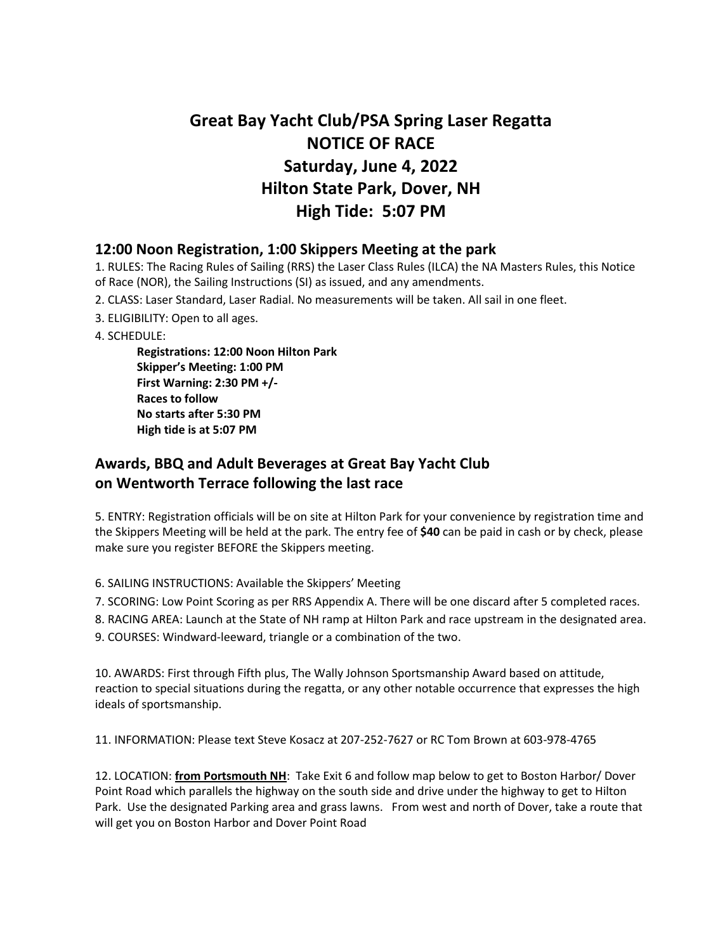## **Great Bay Yacht Club/PSA Spring Laser Regatta NOTICE OF RACE Saturday, June 4, 2022 Hilton State Park, Dover, NH High Tide: 5:07 PM**

## **12:00 Noon Registration, 1:00 Skippers Meeting at the park**

1. RULES: The Racing Rules of Sailing (RRS) the Laser Class Rules (ILCA) the NA Masters Rules, this Notice of Race (NOR), the Sailing Instructions (SI) as issued, and any amendments.

- 2. CLASS: Laser Standard, Laser Radial. No measurements will be taken. All sail in one fleet.
- 3. ELIGIBILITY: Open to all ages.
- 4. SCHEDULE:

**Registrations: 12:00 Noon Hilton Park Skipper's Meeting: 1:00 PM First Warning: 2:30 PM +/- Races to follow No starts after 5:30 PM High tide is at 5:07 PM** 

## **Awards, BBQ and Adult Beverages at Great Bay Yacht Club on Wentworth Terrace following the last race**

5. ENTRY: Registration officials will be on site at Hilton Park for your convenience by registration time and the Skippers Meeting will be held at the park. The entry fee of **\$40** can be paid in cash or by check, please make sure you register BEFORE the Skippers meeting.

- 6. SAILING INSTRUCTIONS: Available the Skippers' Meeting
- 7. SCORING: Low Point Scoring as per RRS Appendix A. There will be one discard after 5 completed races.
- 8. RACING AREA: Launch at the State of NH ramp at Hilton Park and race upstream in the designated area.
- 9. COURSES: Windward-leeward, triangle or a combination of the two.

10. AWARDS: First through Fifth plus, The Wally Johnson Sportsmanship Award based on attitude, reaction to special situations during the regatta, or any other notable occurrence that expresses the high ideals of sportsmanship.

11. INFORMATION: Please text Steve Kosacz at 207-252-7627 or RC Tom Brown at 603-978-4765

12. LOCATION: **from Portsmouth NH**: Take Exit 6 and follow map below to get to Boston Harbor/ Dover Point Road which parallels the highway on the south side and drive under the highway to get to Hilton Park. Use the designated Parking area and grass lawns. From west and north of Dover, take a route that will get you on Boston Harbor and Dover Point Road